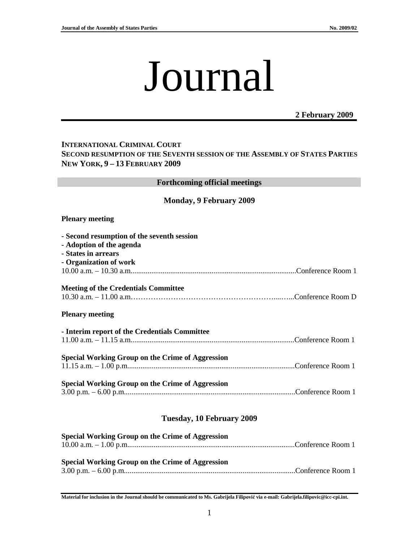# Journal

# **2 February 2009**

## **INTERNATIONAL CRIMINAL COURT SECOND RESUMPTION OF THE SEVENTH SESSION OF THE ASSEMBLY OF STATES PARTIES NEW YORK, 9 – 13 FEBRUARY 2009**

| <b>Forthcoming official meetings</b>                                                                                    |  |  |
|-------------------------------------------------------------------------------------------------------------------------|--|--|
| <b>Monday, 9 February 2009</b>                                                                                          |  |  |
| <b>Plenary meeting</b>                                                                                                  |  |  |
| - Second resumption of the seventh session<br>- Adoption of the agenda<br>- States in arrears<br>- Organization of work |  |  |
| <b>Meeting of the Credentials Committee</b><br><b>Plenary meeting</b>                                                   |  |  |
| - Interim report of the Credentials Committee                                                                           |  |  |
| <b>Special Working Group on the Crime of Aggression</b>                                                                 |  |  |
| <b>Special Working Group on the Crime of Aggression</b>                                                                 |  |  |
| Tuesday, 10 February 2009                                                                                               |  |  |

| Special Working Group on the Crime of Aggression |  |
|--------------------------------------------------|--|
|                                                  |  |
|                                                  |  |
| Special Working Group on the Crime of Aggression |  |

**Material for inclusion in the Journal should be communicated to Ms. Gabrijela Filipovi**ć **via e-mail: Gabrijela.filipovic@icc-cpi.int.**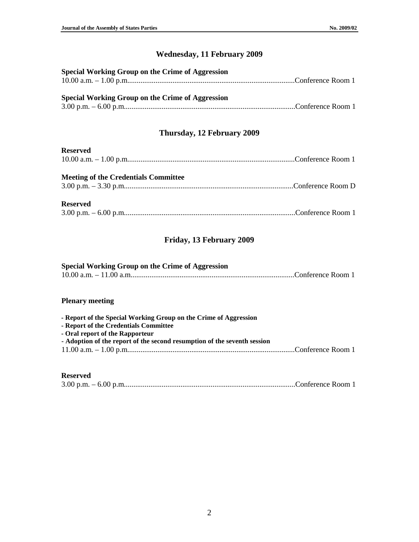# **Wednesday, 11 February 2009**

| Special Working Group on the Crime of Aggression |  |
|--------------------------------------------------|--|
|                                                  |  |
|                                                  |  |
| Special Working Group on the Crime of Aggression |  |
|                                                  |  |

# **Thursday, 12 February 2009**

| <b>Reserved</b>                             |  |
|---------------------------------------------|--|
|                                             |  |
| <b>Meeting of the Credentials Committee</b> |  |
| <b>Reserved</b>                             |  |
|                                             |  |

# **Friday, 13 February 2009**

#### **Special Working Group on the Crime of Aggression**

|  | . |  |
|--|---|--|
|  |   |  |

#### **Plenary meeting**

| - Report of the Special Working Group on the Crime of Aggression         |  |
|--------------------------------------------------------------------------|--|
| - Report of the Credentials Committee                                    |  |
| - Oral report of the Rapporteur                                          |  |
| - Adoption of the report of the second resumption of the seventh session |  |
|                                                                          |  |
|                                                                          |  |

#### **Reserved**

|--|--|